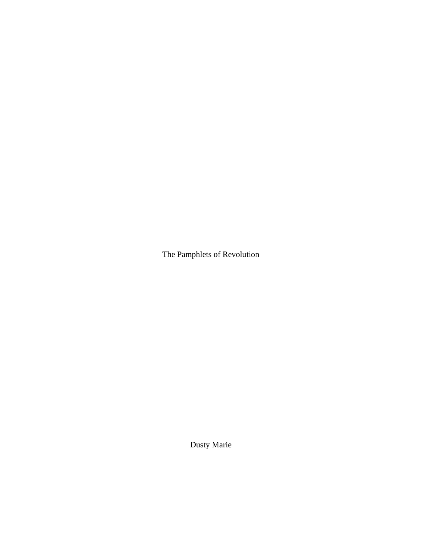The Pamphlets of Revolution

Dusty Marie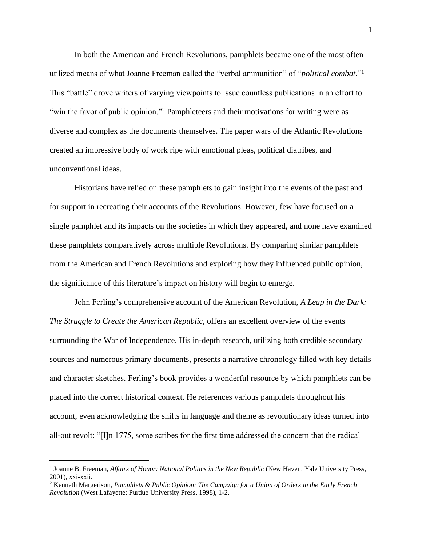In both the American and French Revolutions, pamphlets became one of the most often utilized means of what Joanne Freeman called the "verbal ammunition" of "*political combat*."<sup>1</sup> This "battle" drove writers of varying viewpoints to issue countless publications in an effort to "win the favor of public opinion."<sup>2</sup> Pamphleteers and their motivations for writing were as diverse and complex as the documents themselves. The paper wars of the Atlantic Revolutions created an impressive body of work ripe with emotional pleas, political diatribes, and unconventional ideas.

Historians have relied on these pamphlets to gain insight into the events of the past and for support in recreating their accounts of the Revolutions. However, few have focused on a single pamphlet and its impacts on the societies in which they appeared, and none have examined these pamphlets comparatively across multiple Revolutions. By comparing similar pamphlets from the American and French Revolutions and exploring how they influenced public opinion, the significance of this literature's impact on history will begin to emerge.

John Ferling's comprehensive account of the American Revolution, *A Leap in the Dark: The Struggle to Create the American Republic*, offers an excellent overview of the events surrounding the War of Independence. His in-depth research, utilizing both credible secondary sources and numerous primary documents, presents a narrative chronology filled with key details and character sketches. Ferling's book provides a wonderful resource by which pamphlets can be placed into the correct historical context. He references various pamphlets throughout his account, even acknowledging the shifts in language and theme as revolutionary ideas turned into all-out revolt: "[I]n 1775, some scribes for the first time addressed the concern that the radical

<sup>&</sup>lt;sup>1</sup> Joanne B. Freeman, *Affairs of Honor: National Politics in the New Republic* (New Haven: Yale University Press, 2001), xxi-xxii.

<sup>2</sup> Kenneth Margerison, *Pamphlets & Public Opinion: The Campaign for a Union of Orders in the Early French Revolution* (West Lafayette: Purdue University Press, 1998), 1-2.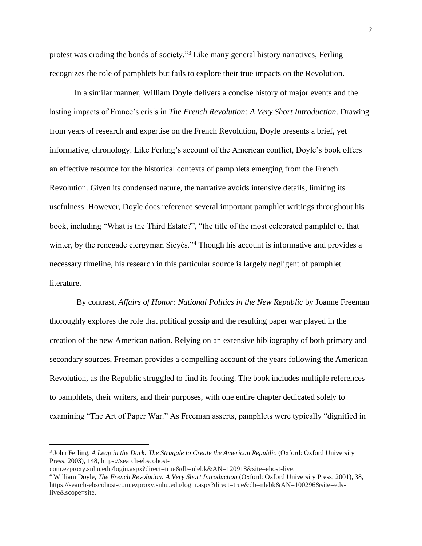protest was eroding the bonds of society."<sup>3</sup> Like many general history narratives, Ferling recognizes the role of pamphlets but fails to explore their true impacts on the Revolution.

In a similar manner, William Doyle delivers a concise history of major events and the lasting impacts of France's crisis in *The French Revolution: A Very Short Introduction*. Drawing from years of research and expertise on the French Revolution, Doyle presents a brief, yet informative, chronology. Like Ferling's account of the American conflict, Doyle's book offers an effective resource for the historical contexts of pamphlets emerging from the French Revolution. Given its condensed nature, the narrative avoids intensive details, limiting its usefulness. However, Doyle does reference several important pamphlet writings throughout his book, including "What is the Third Estate?", "the title of the most celebrated pamphlet of that winter, by the renegade clergyman Sieyès."<sup>4</sup> Though his account is informative and provides a necessary timeline, his research in this particular source is largely negligent of pamphlet literature.

By contrast, *Affairs of Honor: National Politics in the New Republic* by Joanne Freeman thoroughly explores the role that political gossip and the resulting paper war played in the creation of the new American nation. Relying on an extensive bibliography of both primary and secondary sources, Freeman provides a compelling account of the years following the American Revolution, as the Republic struggled to find its footing. The book includes multiple references to pamphlets, their writers, and their purposes, with one entire chapter dedicated solely to examining "The Art of Paper War." As Freeman asserts, pamphlets were typically "dignified in

<sup>&</sup>lt;sup>3</sup> John Ferling, *A Leap in the Dark: The Struggle to Create the American Republic* (Oxford: Oxford University Press, 2003), 148, https://search-ebscohost-

com.ezproxy.snhu.edu/login.aspx?direct=true&db=nlebk&AN=120918&site=ehost-live.

<sup>4</sup> William Doyle, *The French Revolution: A Very Short Introduction* (Oxford: Oxford University Press, 2001), 38, https://search-ebscohost-com.ezproxy.snhu.edu/login.aspx?direct=true&db=nlebk&AN=100296&site=edslive&scope=site.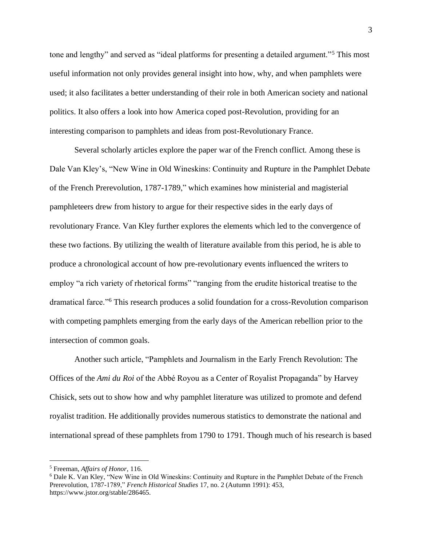tone and lengthy" and served as "ideal platforms for presenting a detailed argument."<sup>5</sup> This most useful information not only provides general insight into how, why, and when pamphlets were used; it also facilitates a better understanding of their role in both American society and national politics. It also offers a look into how America coped post-Revolution, providing for an interesting comparison to pamphlets and ideas from post-Revolutionary France.

Several scholarly articles explore the paper war of the French conflict. Among these is Dale Van Kley's, "New Wine in Old Wineskins: Continuity and Rupture in the Pamphlet Debate of the French Prerevolution, 1787-1789," which examines how ministerial and magisterial pamphleteers drew from history to argue for their respective sides in the early days of revolutionary France. Van Kley further explores the elements which led to the convergence of these two factions. By utilizing the wealth of literature available from this period, he is able to produce a chronological account of how pre-revolutionary events influenced the writers to employ "a rich variety of rhetorical forms" "ranging from the erudite historical treatise to the dramatical farce."<sup>6</sup> This research produces a solid foundation for a cross-Revolution comparison with competing pamphlets emerging from the early days of the American rebellion prior to the intersection of common goals.

Another such article, "Pamphlets and Journalism in the Early French Revolution: The Offices of the *Ami du Roi* of the Abbé Royou as a Center of Royalist Propaganda" by Harvey Chisick, sets out to show how and why pamphlet literature was utilized to promote and defend royalist tradition. He additionally provides numerous statistics to demonstrate the national and international spread of these pamphlets from 1790 to 1791. Though much of his research is based

<sup>5</sup> Freeman, *Affairs of Honor*, 116.

<sup>6</sup> Dale K. Van Kley, "New Wine in Old Wineskins: Continuity and Rupture in the Pamphlet Debate of the French Prerevolution, 1787-1789," *French Historical Studies* 17, no. 2 (Autumn 1991): 453, https://www.jstor.org/stable/286465.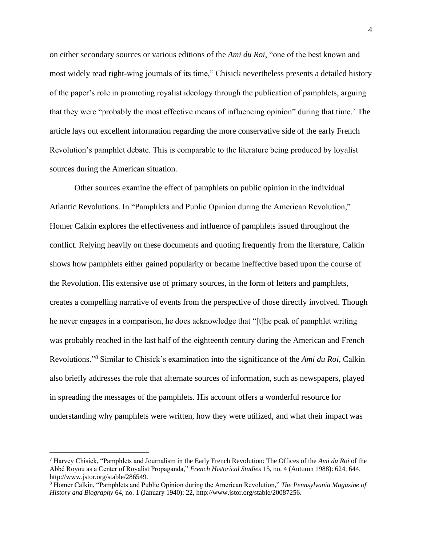on either secondary sources or various editions of the *Ami du Roi*, "one of the best known and most widely read right-wing journals of its time," Chisick nevertheless presents a detailed history of the paper's role in promoting royalist ideology through the publication of pamphlets, arguing that they were "probably the most effective means of influencing opinion" during that time.<sup>7</sup> The article lays out excellent information regarding the more conservative side of the early French Revolution's pamphlet debate. This is comparable to the literature being produced by loyalist sources during the American situation.

Other sources examine the effect of pamphlets on public opinion in the individual Atlantic Revolutions. In "Pamphlets and Public Opinion during the American Revolution," Homer Calkin explores the effectiveness and influence of pamphlets issued throughout the conflict. Relying heavily on these documents and quoting frequently from the literature, Calkin shows how pamphlets either gained popularity or became ineffective based upon the course of the Revolution. His extensive use of primary sources, in the form of letters and pamphlets, creates a compelling narrative of events from the perspective of those directly involved. Though he never engages in a comparison, he does acknowledge that "[t]he peak of pamphlet writing was probably reached in the last half of the eighteenth century during the American and French Revolutions." <sup>8</sup> Similar to Chisick's examination into the significance of the *Ami du Roi*, Calkin also briefly addresses the role that alternate sources of information, such as newspapers, played in spreading the messages of the pamphlets. His account offers a wonderful resource for understanding why pamphlets were written, how they were utilized, and what their impact was

<sup>7</sup> Harvey Chisick, "Pamphlets and Journalism in the Early French Revolution: The Offices of the *Ami du Roi* of the Abbé Royou as a Center of Royalist Propaganda," *French Historical Studies* 15, no. 4 (Autumn 1988): 624, 644, http://www.jstor.org/stable/286549.

<sup>8</sup> Homer Calkin, "Pamphlets and Public Opinion during the American Revolution," *The Pennsylvania Magazine of History and Biography* 64, no. 1 (January 1940): 22, http://www.jstor.org/stable/20087256.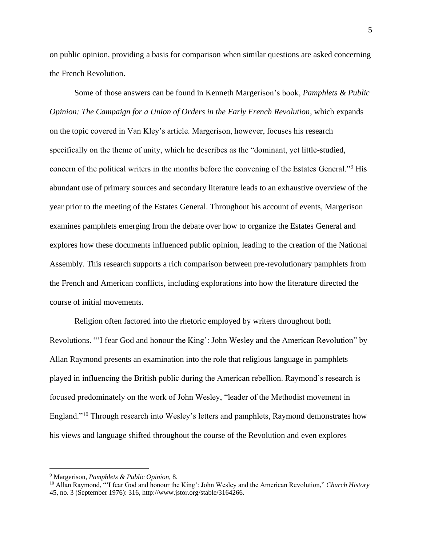on public opinion, providing a basis for comparison when similar questions are asked concerning the French Revolution.

Some of those answers can be found in Kenneth Margerison's book, *Pamphlets & Public Opinion: The Campaign for a Union of Orders in the Early French Revolution*, which expands on the topic covered in Van Kley's article. Margerison, however, focuses his research specifically on the theme of unity, which he describes as the "dominant, yet little-studied, concern of the political writers in the months before the convening of the Estates General."<sup>9</sup> His abundant use of primary sources and secondary literature leads to an exhaustive overview of the year prior to the meeting of the Estates General. Throughout his account of events, Margerison examines pamphlets emerging from the debate over how to organize the Estates General and explores how these documents influenced public opinion, leading to the creation of the National Assembly. This research supports a rich comparison between pre-revolutionary pamphlets from the French and American conflicts, including explorations into how the literature directed the course of initial movements.

Religion often factored into the rhetoric employed by writers throughout both Revolutions. "'I fear God and honour the King': John Wesley and the American Revolution" by Allan Raymond presents an examination into the role that religious language in pamphlets played in influencing the British public during the American rebellion. Raymond's research is focused predominately on the work of John Wesley, "leader of the Methodist movement in England."<sup>10</sup> Through research into Wesley's letters and pamphlets, Raymond demonstrates how his views and language shifted throughout the course of the Revolution and even explores

<sup>9</sup> Margerison, *Pamphlets & Public Opinion*, 8.

<sup>10</sup> Allan Raymond, "'I fear God and honour the King': John Wesley and the American Revolution," *Church History* 45, no. 3 (September 1976): 316, http://www.jstor.org/stable/3164266.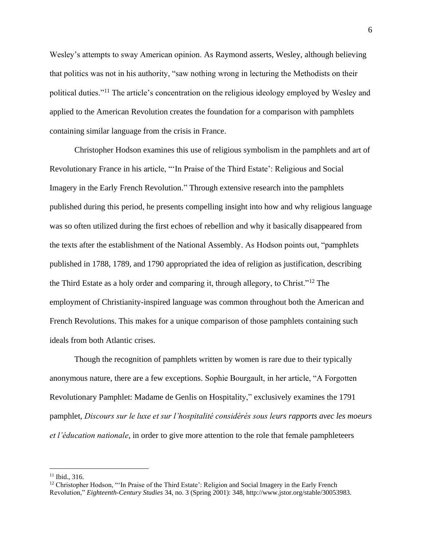Wesley's attempts to sway American opinion. As Raymond asserts, Wesley, although believing that politics was not in his authority, "saw nothing wrong in lecturing the Methodists on their political duties."<sup>11</sup> The article's concentration on the religious ideology employed by Wesley and applied to the American Revolution creates the foundation for a comparison with pamphlets containing similar language from the crisis in France.

Christopher Hodson examines this use of religious symbolism in the pamphlets and art of Revolutionary France in his article, "'In Praise of the Third Estate': Religious and Social Imagery in the Early French Revolution." Through extensive research into the pamphlets published during this period, he presents compelling insight into how and why religious language was so often utilized during the first echoes of rebellion and why it basically disappeared from the texts after the establishment of the National Assembly. As Hodson points out, "pamphlets published in 1788, 1789, and 1790 appropriated the idea of religion as justification, describing the Third Estate as a holy order and comparing it, through allegory, to Christ."<sup>12</sup> The employment of Christianity-inspired language was common throughout both the American and French Revolutions. This makes for a unique comparison of those pamphlets containing such ideals from both Atlantic crises.

Though the recognition of pamphlets written by women is rare due to their typically anonymous nature, there are a few exceptions. Sophie Bourgault, in her article, "A Forgotten Revolutionary Pamphlet: Madame de Genlis on Hospitality," exclusively examines the 1791 pamphlet, *Discours sur le luxe et sur l'hospitalité considérés sous leurs rapports avec les moeurs et l'éducation nationale*, in order to give more attention to the role that female pamphleteers

<sup>11</sup> Ibid., 316.

<sup>&</sup>lt;sup>12</sup> Christopher Hodson, "'In Praise of the Third Estate': Religion and Social Imagery in the Early French Revolution," *Eighteenth-Century Studies* 34, no. 3 (Spring 2001): 348, http://www.jstor.org/stable/30053983.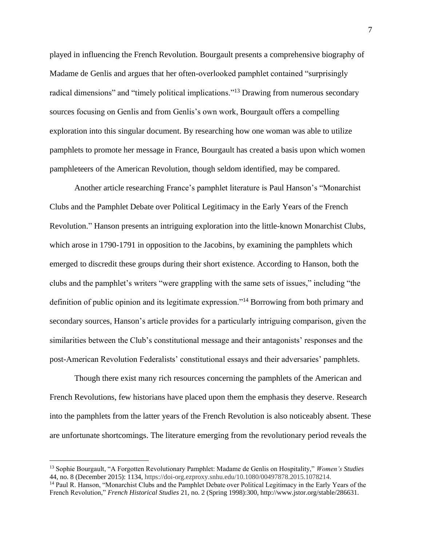played in influencing the French Revolution. Bourgault presents a comprehensive biography of Madame de Genlis and argues that her often-overlooked pamphlet contained "surprisingly radical dimensions" and "timely political implications."<sup>13</sup> Drawing from numerous secondary sources focusing on Genlis and from Genlis's own work, Bourgault offers a compelling exploration into this singular document. By researching how one woman was able to utilize pamphlets to promote her message in France, Bourgault has created a basis upon which women pamphleteers of the American Revolution, though seldom identified, may be compared.

Another article researching France's pamphlet literature is Paul Hanson's "Monarchist Clubs and the Pamphlet Debate over Political Legitimacy in the Early Years of the French Revolution." Hanson presents an intriguing exploration into the little-known Monarchist Clubs, which arose in 1790-1791 in opposition to the Jacobins, by examining the pamphlets which emerged to discredit these groups during their short existence. According to Hanson, both the clubs and the pamphlet's writers "were grappling with the same sets of issues," including "the definition of public opinion and its legitimate expression."<sup>14</sup> Borrowing from both primary and secondary sources, Hanson's article provides for a particularly intriguing comparison, given the similarities between the Club's constitutional message and their antagonists' responses and the post-American Revolution Federalists' constitutional essays and their adversaries' pamphlets.

Though there exist many rich resources concerning the pamphlets of the American and French Revolutions, few historians have placed upon them the emphasis they deserve. Research into the pamphlets from the latter years of the French Revolution is also noticeably absent. These are unfortunate shortcomings. The literature emerging from the revolutionary period reveals the

<sup>13</sup> Sophie Bourgault, "A Forgotten Revolutionary Pamphlet: Madame de Genlis on Hospitality," *Women's Studies* 44, no. 8 (December 2015): 1134, https://doi-org.ezproxy.snhu.edu/10.1080/00497878.2015.1078214.

<sup>14</sup> Paul R. Hanson, "Monarchist Clubs and the Pamphlet Debate over Political Legitimacy in the Early Years of the French Revolution," *French Historical Studies* 21, no. 2 (Spring 1998):300, http://www.jstor.org/stable/286631.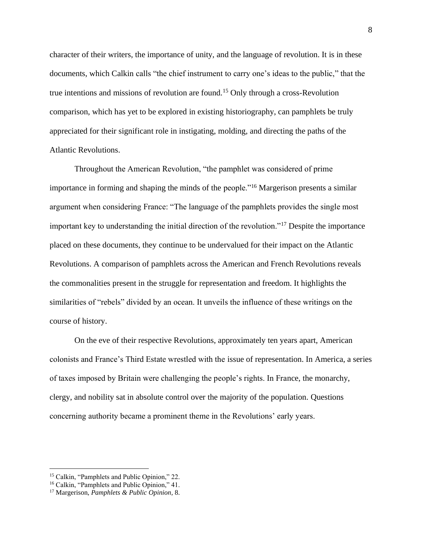character of their writers, the importance of unity, and the language of revolution. It is in these documents, which Calkin calls "the chief instrument to carry one's ideas to the public," that the true intentions and missions of revolution are found.<sup>15</sup> Only through a cross-Revolution comparison, which has yet to be explored in existing historiography, can pamphlets be truly appreciated for their significant role in instigating, molding, and directing the paths of the Atlantic Revolutions.

Throughout the American Revolution, "the pamphlet was considered of prime importance in forming and shaping the minds of the people."<sup>16</sup> Margerison presents a similar argument when considering France: "The language of the pamphlets provides the single most important key to understanding the initial direction of the revolution."<sup>17</sup> Despite the importance placed on these documents, they continue to be undervalued for their impact on the Atlantic Revolutions. A comparison of pamphlets across the American and French Revolutions reveals the commonalities present in the struggle for representation and freedom. It highlights the similarities of "rebels" divided by an ocean. It unveils the influence of these writings on the course of history.

On the eve of their respective Revolutions, approximately ten years apart, American colonists and France's Third Estate wrestled with the issue of representation. In America, a series of taxes imposed by Britain were challenging the people's rights. In France, the monarchy, clergy, and nobility sat in absolute control over the majority of the population. Questions concerning authority became a prominent theme in the Revolutions' early years.

<sup>&</sup>lt;sup>15</sup> Calkin, "Pamphlets and Public Opinion," 22.

<sup>16</sup> Calkin, "Pamphlets and Public Opinion," 41.

<sup>17</sup> Margerison, *Pamphlets & Public Opinion*, 8.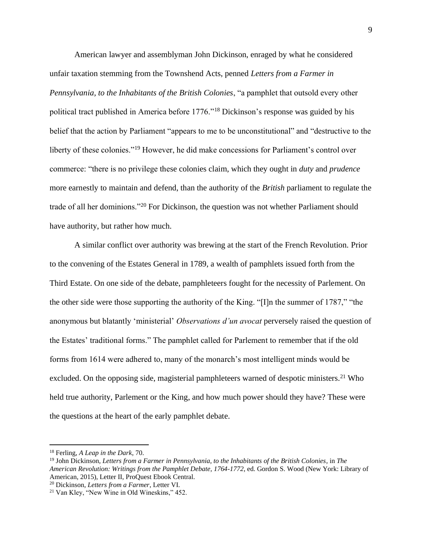American lawyer and assemblyman John Dickinson, enraged by what he considered unfair taxation stemming from the Townshend Acts, penned *Letters from a Farmer in Pennsylvania, to the Inhabitants of the British Colonies*, "a pamphlet that outsold every other political tract published in America before 1776."<sup>18</sup> Dickinson's response was guided by his belief that the action by Parliament "appears to me to be unconstitutional" and "destructive to the liberty of these colonies."<sup>19</sup> However, he did make concessions for Parliament's control over commerce: "there is no privilege these colonies claim, which they ought in *duty* and *prudence* more earnestly to maintain and defend, than the authority of the *British* parliament to regulate the trade of all her dominions."<sup>20</sup> For Dickinson, the question was not whether Parliament should have authority, but rather how much.

A similar conflict over authority was brewing at the start of the French Revolution. Prior to the convening of the Estates General in 1789, a wealth of pamphlets issued forth from the Third Estate. On one side of the debate, pamphleteers fought for the necessity of Parlement. On the other side were those supporting the authority of the King. "[I]n the summer of 1787," "the anonymous but blatantly 'ministerial' *Observations d'un avocat* perversely raised the question of the Estates' traditional forms." The pamphlet called for Parlement to remember that if the old forms from 1614 were adhered to, many of the monarch's most intelligent minds would be excluded. On the opposing side, magisterial pamphleteers warned of despotic ministers.<sup>21</sup> Who held true authority, Parlement or the King, and how much power should they have? These were the questions at the heart of the early pamphlet debate.

<sup>20</sup> Dickinson, *Letters from a Farmer*, Letter VI.

<sup>18</sup> Ferling, *A Leap in the Dark*, 70.

<sup>19</sup> John Dickinson, *Letters from a Farmer in Pennsylvania, to the Inhabitants of the British Colonies*, in *The American Revolution: Writings from the Pamphlet Debate, 1764-1772*, ed. Gordon S. Wood (New York: Library of American, 2015), Letter II, ProQuest Ebook Central.

<sup>21</sup> Van Kley, "New Wine in Old Wineskins," 452.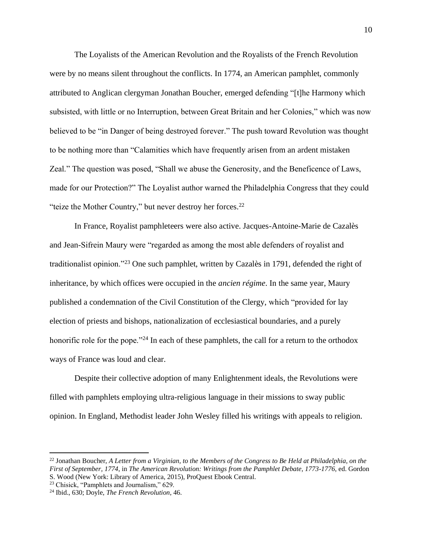The Loyalists of the American Revolution and the Royalists of the French Revolution were by no means silent throughout the conflicts. In 1774, an American pamphlet, commonly attributed to Anglican clergyman Jonathan Boucher, emerged defending "[t]he Harmony which subsisted, with little or no Interruption, between Great Britain and her Colonies," which was now believed to be "in Danger of being destroyed forever." The push toward Revolution was thought to be nothing more than "Calamities which have frequently arisen from an ardent mistaken Zeal." The question was posed, "Shall we abuse the Generosity, and the Beneficence of Laws, made for our Protection?" The Loyalist author warned the Philadelphia Congress that they could "teize the Mother Country," but never destroy her forces.<sup>22</sup>

In France, Royalist pamphleteers were also active. Jacques-Antoine-Marie de Cazalès and Jean-Sifrein Maury were "regarded as among the most able defenders of royalist and traditionalist opinion."<sup>23</sup> One such pamphlet, written by Cazalès in 1791, defended the right of inheritance, by which offices were occupied in the *ancien régime*. In the same year, Maury published a condemnation of the Civil Constitution of the Clergy, which "provided for lay election of priests and bishops, nationalization of ecclesiastical boundaries, and a purely honorific role for the pope."<sup>24</sup> In each of these pamphlets, the call for a return to the orthodox ways of France was loud and clear.

Despite their collective adoption of many Enlightenment ideals, the Revolutions were filled with pamphlets employing ultra-religious language in their missions to sway public opinion. In England, Methodist leader John Wesley filled his writings with appeals to religion.

<sup>22</sup> Jonathan Boucher, *A Letter from a Virginian, to the Members of the Congress to Be Held at Philadelphia, on the First of September, 1774*, in *The American Revolution: Writings from the Pamphlet Debate, 1773-1776*, ed. Gordon S. Wood (New York: Library of America, 2015), ProQuest Ebook Central.

<sup>23</sup> Chisick, "Pamphlets and Journalism," 629.

<sup>24</sup> Ibid., 630; Doyle, *The French Revolution*, 46.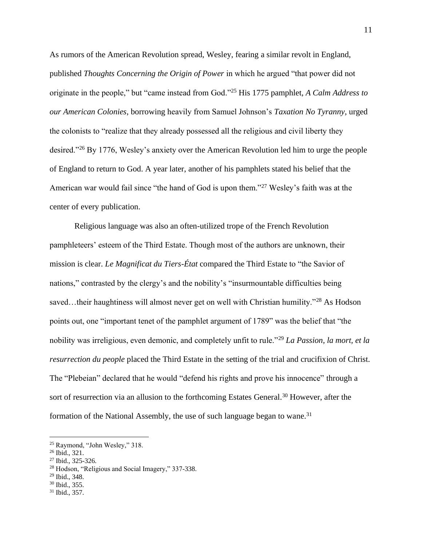As rumors of the American Revolution spread, Wesley, fearing a similar revolt in England, published *Thoughts Concerning the Origin of Power* in which he argued "that power did not originate in the people," but "came instead from God."<sup>25</sup> His 1775 pamphlet, *A Calm Address to our American Colonies*, borrowing heavily from Samuel Johnson's *Taxation No Tyranny*, urged the colonists to "realize that they already possessed all the religious and civil liberty they desired."<sup>26</sup> By 1776, Wesley's anxiety over the American Revolution led him to urge the people of England to return to God. A year later, another of his pamphlets stated his belief that the American war would fail since "the hand of God is upon them."<sup>27</sup> Wesley's faith was at the center of every publication.

Religious language was also an often-utilized trope of the French Revolution pamphleteers' esteem of the Third Estate. Though most of the authors are unknown, their mission is clear. *Le Magnificat du Tiers-État* compared the Third Estate to "the Savior of nations," contrasted by the clergy's and the nobility's "insurmountable difficulties being saved…their haughtiness will almost never get on well with Christian humility."<sup>28</sup> As Hodson points out, one "important tenet of the pamphlet argument of 1789" was the belief that "the nobility was irreligious, even demonic, and completely unfit to rule."<sup>29</sup> *La Passion, la mort, et la resurrection du people* placed the Third Estate in the setting of the trial and crucifixion of Christ. The "Plebeian" declared that he would "defend his rights and prove his innocence" through a sort of resurrection via an allusion to the forthcoming Estates General.<sup>30</sup> However, after the formation of the National Assembly, the use of such language began to wane.<sup>31</sup>

<sup>25</sup> Raymond, "John Wesley," 318.

<sup>26</sup> Ibid., 321.

<sup>27</sup> Ibid., 325-326.

<sup>28</sup> Hodson, "Religious and Social Imagery," 337-338.

<sup>29</sup> Ibid., 348.

<sup>30</sup> Ibid., 355.

<sup>31</sup> Ibid., 357.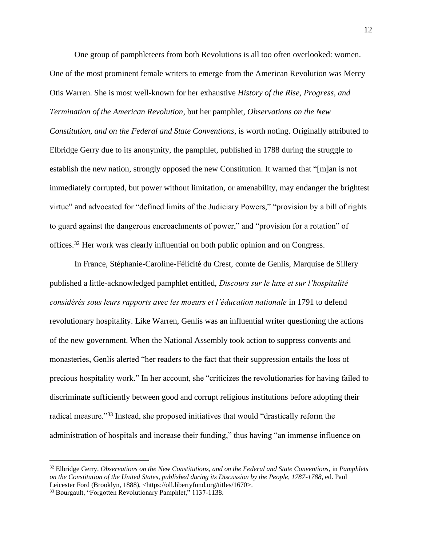One group of pamphleteers from both Revolutions is all too often overlooked: women. One of the most prominent female writers to emerge from the American Revolution was Mercy Otis Warren. She is most well-known for her exhaustive *History of the Rise, Progress, and Termination of the American Revolution*, but her pamphlet, *Observations on the New Constitution, and on the Federal and State Conventions*, is worth noting. Originally attributed to Elbridge Gerry due to its anonymity, the pamphlet, published in 1788 during the struggle to establish the new nation, strongly opposed the new Constitution. It warned that "[m]an is not immediately corrupted, but power without limitation, or amenability, may endanger the brightest virtue" and advocated for "defined limits of the Judiciary Powers," "provision by a bill of rights to guard against the dangerous encroachments of power," and "provision for a rotation" of offices.<sup>32</sup> Her work was clearly influential on both public opinion and on Congress.

In France, Stéphanie-Caroline-Félicité du Crest, comte de Genlis, Marquise de Sillery published a little-acknowledged pamphlet entitled, *Discours sur le luxe et sur l'hospitalité considérés sous leurs rapports avec les moeurs et l'éducation nationale* in 1791 to defend revolutionary hospitality. Like Warren, Genlis was an influential writer questioning the actions of the new government. When the National Assembly took action to suppress convents and monasteries, Genlis alerted "her readers to the fact that their suppression entails the loss of precious hospitality work." In her account, she "criticizes the revolutionaries for having failed to discriminate sufficiently between good and corrupt religious institutions before adopting their radical measure."<sup>33</sup> Instead, she proposed initiatives that would "drastically reform the administration of hospitals and increase their funding," thus having "an immense influence on

<sup>32</sup> Elbridge Gerry, *Observations on the New Constitutions, and on the Federal and State Conventions*, in *Pamphlets on the Constitution of the United States, published during its Discussion by the People, 1787-1788*, ed. Paul Leicester Ford (Brooklyn, 1888), <https://oll.libertyfund.org/titles/1670>.

<sup>33</sup> Bourgault, "Forgotten Revolutionary Pamphlet," 1137-1138.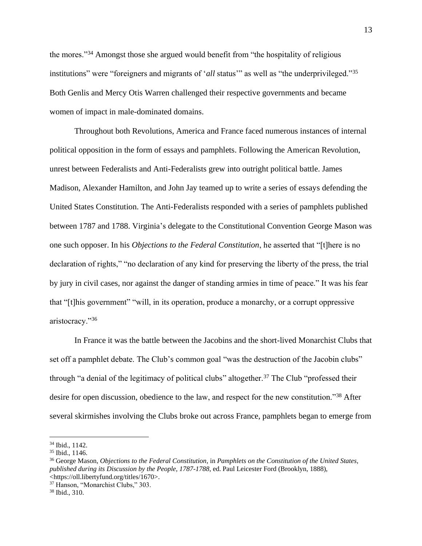the mores."<sup>34</sup> Amongst those she argued would benefit from "the hospitality of religious institutions" were "foreigners and migrants of '*all* status'" as well as "the underprivileged."<sup>35</sup> Both Genlis and Mercy Otis Warren challenged their respective governments and became women of impact in male-dominated domains.

Throughout both Revolutions, America and France faced numerous instances of internal political opposition in the form of essays and pamphlets. Following the American Revolution, unrest between Federalists and Anti-Federalists grew into outright political battle. James Madison, Alexander Hamilton, and John Jay teamed up to write a series of essays defending the United States Constitution. The Anti-Federalists responded with a series of pamphlets published between 1787 and 1788. Virginia's delegate to the Constitutional Convention George Mason was one such opposer. In his *Objections to the Federal Constitution*, he asserted that "[t]here is no declaration of rights," "no declaration of any kind for preserving the liberty of the press, the trial by jury in civil cases, nor against the danger of standing armies in time of peace." It was his fear that "[t]his government" "will, in its operation, produce a monarchy, or a corrupt oppressive aristocracy."<sup>36</sup>

In France it was the battle between the Jacobins and the short-lived Monarchist Clubs that set off a pamphlet debate. The Club's common goal "was the destruction of the Jacobin clubs" through "a denial of the legitimacy of political clubs" altogether.<sup>37</sup> The Club "professed their desire for open discussion, obedience to the law, and respect for the new constitution."<sup>38</sup> After several skirmishes involving the Clubs broke out across France, pamphlets began to emerge from

<sup>34</sup> Ibid., 1142.

<sup>35</sup> Ibid., 1146.

<sup>36</sup> George Mason, *Objections to the Federal Constitution*, in *Pamphlets on the Constitution of the United States, published during its Discussion by the People, 1787-1788*, ed. Paul Leicester Ford (Brooklyn, 1888), <https://oll.libertyfund.org/titles/1670>.

<sup>37</sup> Hanson, "Monarchist Clubs," 303.

<sup>38</sup> Ibid., 310.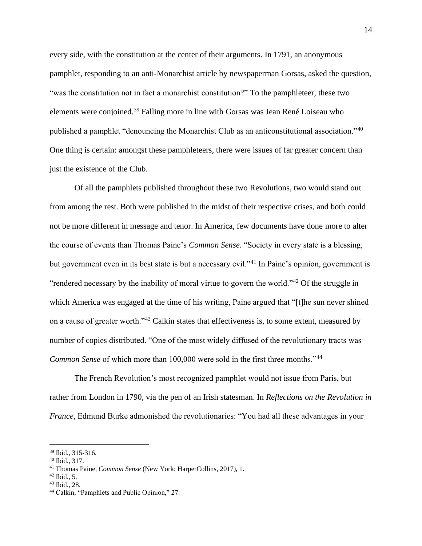every side, with the constitution at the center of their arguments. In 1791, an anonymous pamphlet, responding to an anti-Monarchist article by newspaperman Gorsas, asked the question, "was the constitution not in fact a monarchist constitution?" To the pamphleteer, these two elements were conjoined.<sup>39</sup> Falling more in line with Gorsas was Jean René Loiseau who published a pamphlet "denouncing the Monarchist Club as an anticonstitutional association."<sup>40</sup> One thing is certain: amongst these pamphleteers, there were issues of far greater concern than just the existence of the Club.

Of all the pamphlets published throughout these two Revolutions, two would stand out from among the rest. Both were published in the midst of their respective crises, and both could not be more different in message and tenor. In America, few documents have done more to alter the course of events than Thomas Paine's *Common Sense*. "Society in every state is a blessing, but government even in its best state is but a necessary evil."<sup>41</sup> In Paine's opinion, government is "rendered necessary by the inability of moral virtue to govern the world."<sup>42</sup> Of the struggle in which America was engaged at the time of his writing, Paine argued that "[t]he sun never shined on a cause of greater worth."<sup>43</sup> Calkin states that effectiveness is, to some extent, measured by number of copies distributed. "One of the most widely diffused of the revolutionary tracts was *Common Sense* of which more than 100,000 were sold in the first three months."<sup>44</sup>

The French Revolution's most recognized pamphlet would not issue from Paris, but rather from London in 1790, via the pen of an Irish statesman. In *Reflections on the Revolution in France*, Edmund Burke admonished the revolutionaries: "You had all these advantages in your

<sup>39</sup> Ibid., 315-316.

<sup>40</sup> Ibid., 317.

<sup>41</sup> Thomas Paine, *Common Sense* (New York: HarperCollins, 2017), 1.

 $42$  Ibid., 5.

<sup>43</sup> Ibid., 28.

<sup>44</sup> Calkin, "Pamphlets and Public Opinion," 27.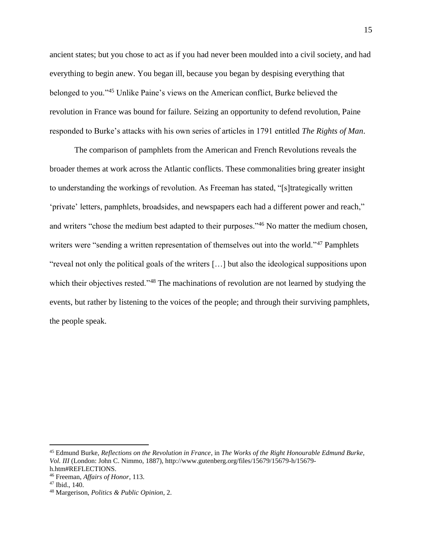ancient states; but you chose to act as if you had never been moulded into a civil society, and had everything to begin anew. You began ill, because you began by despising everything that belonged to you."<sup>45</sup> Unlike Paine's views on the American conflict, Burke believed the revolution in France was bound for failure. Seizing an opportunity to defend revolution, Paine responded to Burke's attacks with his own series of articles in 1791 entitled *The Rights of Man*.

The comparison of pamphlets from the American and French Revolutions reveals the broader themes at work across the Atlantic conflicts. These commonalities bring greater insight to understanding the workings of revolution. As Freeman has stated, "[s]trategically written 'private' letters, pamphlets, broadsides, and newspapers each had a different power and reach," and writers "chose the medium best adapted to their purposes."<sup>46</sup> No matter the medium chosen, writers were "sending a written representation of themselves out into the world."<sup>47</sup> Pamphlets "reveal not only the political goals of the writers […] but also the ideological suppositions upon which their objectives rested."<sup>48</sup> The machinations of revolution are not learned by studying the events, but rather by listening to the voices of the people; and through their surviving pamphlets, the people speak.

<sup>45</sup> Edmund Burke, *Reflections on the Revolution in France*, in *The Works of the Right Honourable Edmund Burke, Vol. III* (London: John C. Nimmo, 1887), http://www.gutenberg.org/files/15679/15679-h/15679 h.htm#REFLECTIONS.

<sup>46</sup> Freeman, *Affairs of Honor*, 113.

<sup>47</sup> Ibid., 140.

<sup>48</sup> Margerison, *Politics & Public Opinion*, 2.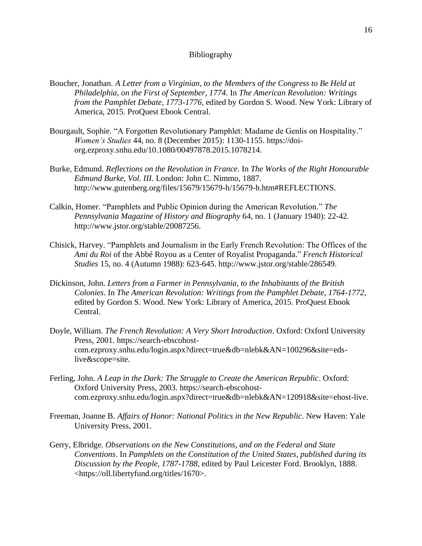## Bibliography

- Boucher, Jonathan. *A Letter from a Virginian, to the Members of the Congress to Be Held at Philadelphia, on the First of September, 1774*. In *The American Revolution: Writings from the Pamphlet Debate, 1773-1776*, edited by Gordon S. Wood. New York: Library of America, 2015. ProQuest Ebook Central.
- Bourgault, Sophie. "A Forgotten Revolutionary Pamphlet: Madame de Genlis on Hospitality." *Women's Studies* 44, no. 8 (December 2015): 1130-1155. https://doiorg.ezproxy.snhu.edu/10.1080/00497878.2015.1078214.
- Burke, Edmund. *Reflections on the Revolution in France*. In *The Works of the Right Honourable Edmund Burke, Vol. III*. London: John C. Nimmo, 1887. http://www.gutenberg.org/files/15679/15679-h/15679-h.htm#REFLECTIONS.
- Calkin, Homer. "Pamphlets and Public Opinion during the American Revolution." *The Pennsylvania Magazine of History and Biography* 64, no. 1 (January 1940): 22-42. http://www.jstor.org/stable/20087256.
- Chisick, Harvey. "Pamphlets and Journalism in the Early French Revolution: The Offices of the *Ami du Roi* of the Abbé Royou as a Center of Royalist Propaganda." *French Historical Studies* 15, no. 4 (Autumn 1988): 623-645. http://www.jstor.org/stable/286549.
- Dickinson, John. *Letters from a Farmer in Pennsylvania, to the Inhabitants of the British Colonies*. In *The American Revolution: Writings from the Pamphlet Debate, 1764-1772*, edited by Gordon S. Wood. New York: Library of America, 2015. ProQuest Ebook Central.
- Doyle, William. *The French Revolution: A Very Short Introduction*. Oxford: Oxford University Press, 2001. https://search-ebscohostcom.ezproxy.snhu.edu/login.aspx?direct=true&db=nlebk&AN=100296&site=edslive&scope=site.
- Ferling, John. *A Leap in the Dark: The Struggle to Create the American Republic*. Oxford: Oxford University Press, 2003. https://search-ebscohostcom.ezproxy.snhu.edu/login.aspx?direct=true&db=nlebk&AN=120918&site=ehost-live.
- Freeman, Joanne B. *Affairs of Honor: National Politics in the New Republic*. New Haven: Yale University Press, 2001.
- Gerry, Elbridge. *Observations on the New Constitutions, and on the Federal and State Conventions*. In *Pamphlets on the Constitution of the United States, published during its Discussion by the People, 1787-1788*, edited by Paul Leicester Ford. Brooklyn, 1888. <https://oll.libertyfund.org/titles/1670>.